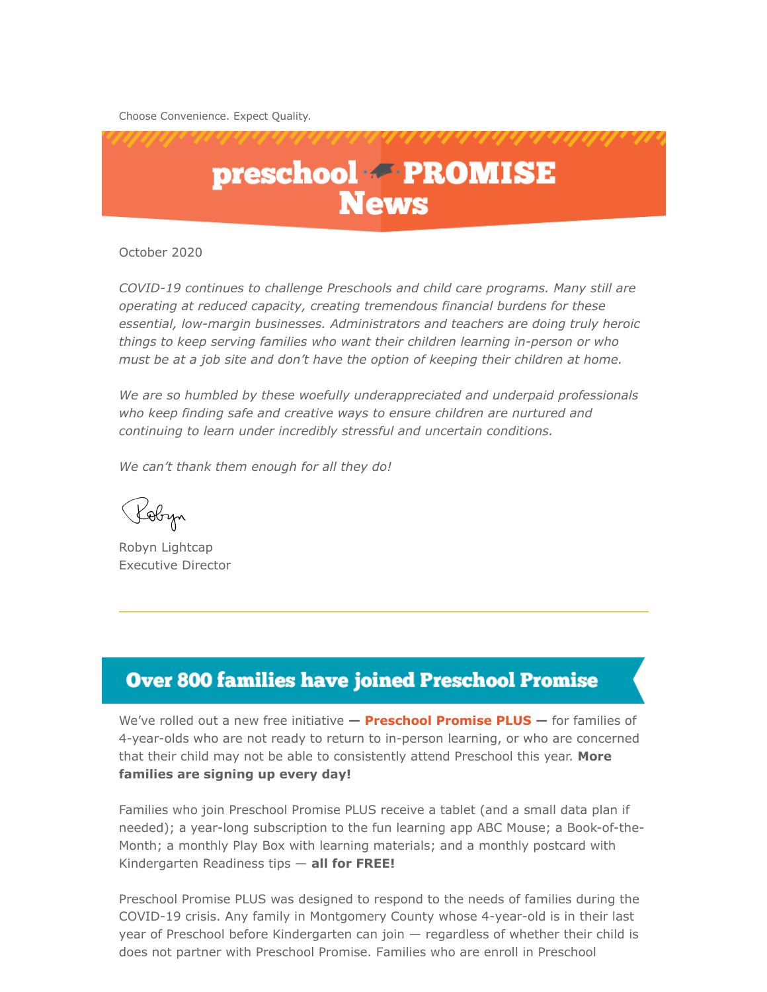Choose Convenience. Expect Quality.



October 2020

*COVID-19 continues to challenge Preschools and child care programs. Many still are operating at reduced capacity, creating tremendous financial burdens for these essential, low-margin businesses. Administrators and teachers are doing truly heroic things to keep serving families who want their children learning in-person or who must be at a job site and don't have the option of keeping their children at home.* 

*We are so humbled by these woefully underappreciated and underpaid professionals who keep finding safe and creative ways to ensure children are nurtured and continuing to learn under incredibly stressful and uncertain conditions.*

*We can't thank them enough for all they do!*

Pobyn

Robyn Lightcap Executive Director

#### **Over 800 families have joined Preschool Promise**

We've rolled out a new free initiative **— [Preschool Promise PLUS](https://www.preschoolpromise.org/PreschoolPromisePlus.aspx) —** for families of 4-year-olds who are not ready to return to in-person learning, or who are concerned that their child may not be able to consistently attend Preschool this year. **More families are signing up every day!**

Families who join Preschool Promise PLUS receive a tablet (and a small data plan if needed); a year-long subscription to the fun learning app ABC Mouse; a Book-of-the-Month; a monthly Play Box with learning materials; and a monthly postcard with Kindergarten Readiness tips — **all for FREE!**

Preschool Promise PLUS was designed to respond to the needs of families during the COVID-19 crisis. Any family in Montgomery County whose 4-year-old is in their last year of Preschool before Kindergarten can join — regardless of whether their child is does not partner with Preschool Promise. Families who are enroll in Preschool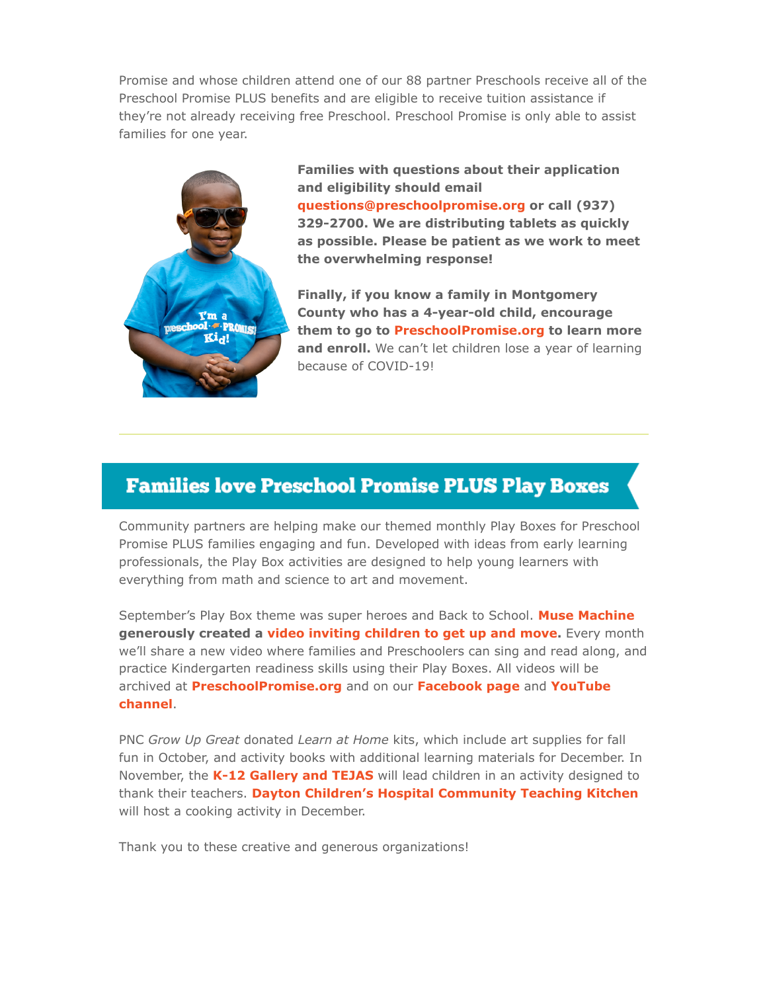Promise and whose children attend one of our 88 partner Preschools receive all of the Preschool Promise PLUS benefits and are eligible to receive tuition assistance if they're not already receiving free Preschool. Preschool Promise is only able to assist families for one year.



**Families with questions about their application and eligibility should email [questions@preschoolpromise.org](mailto:questions@preschoolpromise.org) or call (937) 329-2700. We are distributing tablets as quickly as possible. Please be patient as we work to meet the overwhelming response!**

**Finally, if you know a family in Montgomery County who has a 4-year-old child, encourage them to go to [PreschoolPromise.org](https://www.preschoolpromise.org/Default.aspx) to learn more** and enroll. We can't let children lose a year of learning because of COVID-19!

#### **Families love Preschool Promise PLUS Play Boxes**

Community partners are helping make our themed monthly Play Boxes for Preschool Promise PLUS families engaging and fun. Developed with ideas from early learning professionals, the Play Box activities are designed to help young learners with everything from math and science to art and movement.

September's Play Box theme was super heroes and Back to School. **[Muse Machine](http://musemachine.com/) generously created a [video inviting children to get up and move](https://www.facebook.com/Preschoolpromisemc/posts/1781749228638819).** Every month we'll share a new video where families and Preschoolers can sing and read along, and practice Kindergarten readiness skills using their Play Boxes. All videos will be archived at **[PreschoolPromise.org](https://www.preschoolpromise.org/Default.aspx)** and on our **[Facebook page](https://www.facebook.com/Preschoolpromisemc)** and **YouTube channel**.

PNC *Grow Up Great* donated *Learn at Home* kits, which include art supplies for fall fun in October, and activity books with additional learning materials for December. In November, the **[K-12 Gallery and TEJAS](https://k12tejasgallery.org/)** will lead children in an activity designed to thank their teachers. **[Dayton Children's Hospital Community Teaching Kitchen](https://www.childrensdayton.org/community-teaching-kitchen)** will host a cooking activity in December.

Thank you to these creative and generous organizations!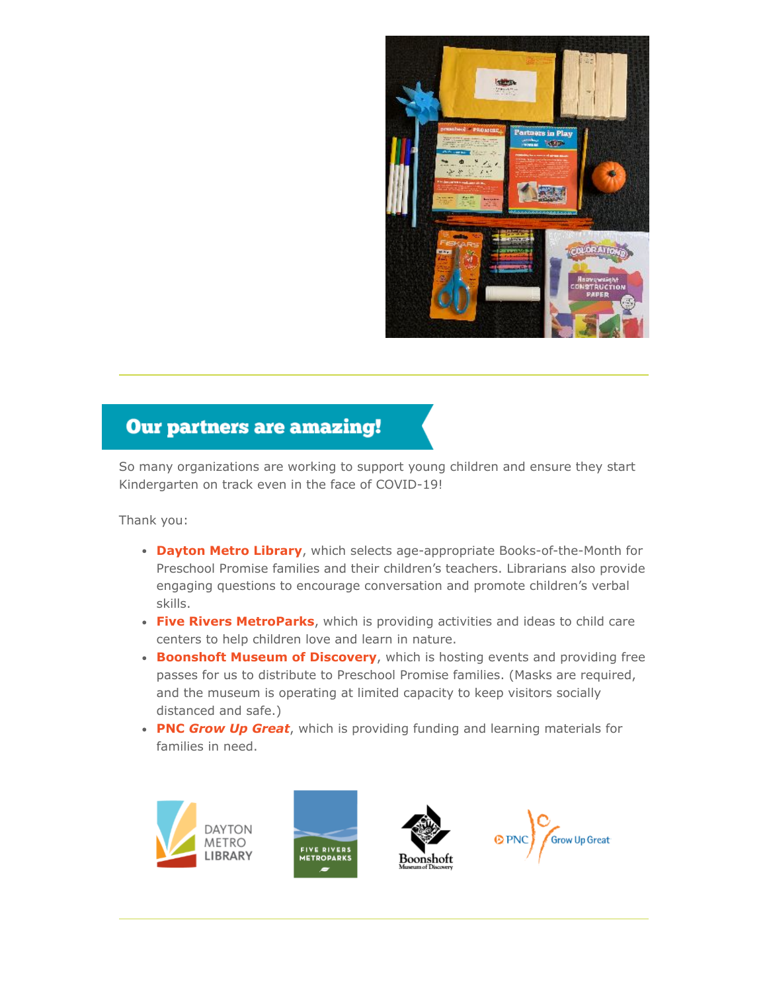

#### **Our partners are amazing!**

So many organizations are working to support young children and ensure they start Kindergarten on track even in the face of COVID-19!

Thank you:

- **[Dayton Metro Library](http://www.daytonmetrolibrary.org/)**, which selects age-appropriate Books-of-the-Month for Preschool Promise families and their children's teachers. Librarians also provide engaging questions to encourage conversation and promote children's verbal skills.
- **[Five Rivers MetroParks](https://www.metroparks.org/)**, which is providing activities and ideas to child care centers to help children love and learn in nature.
- **[Boonshoft Museum of Discovery](https://www.boonshoftmuseum.org/)**, which is hosting events and providing free passes for us to distribute to Preschool Promise families. (Masks are required, and the museum is operating at limited capacity to keep visitors socially distanced and safe.)
- **PNC** *[Grow Up Great](https://www.pnc.com/en/about-pnc/corporate-responsibility/grow-up-great.html)*, which is providing funding and learning materials for families in need.







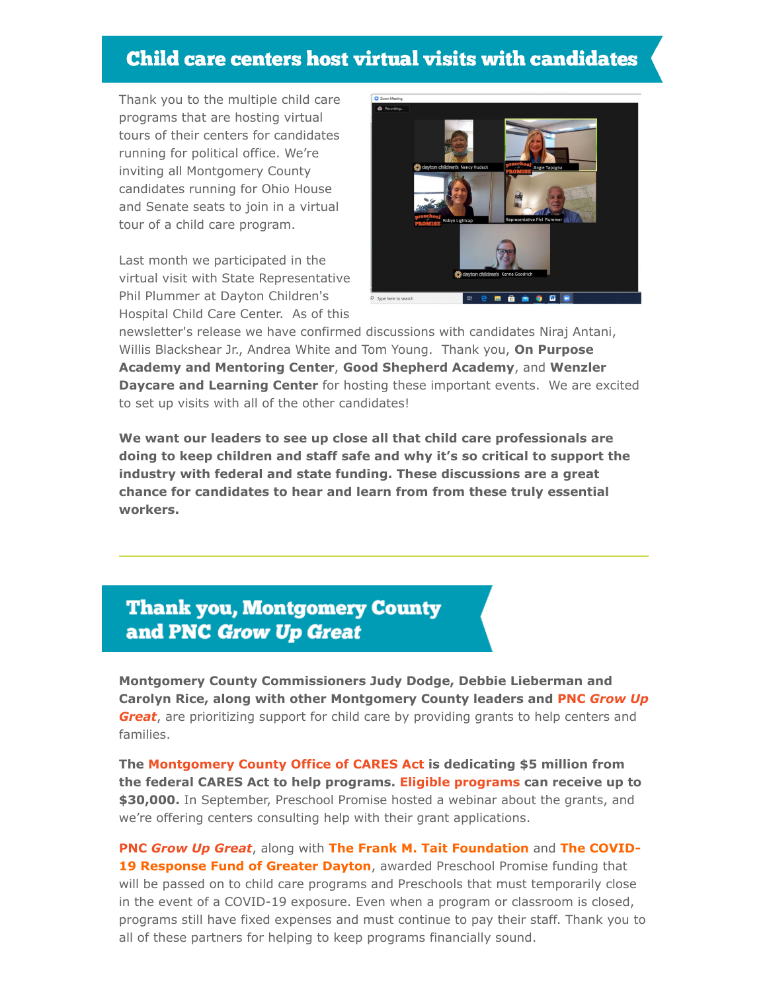## **Child care centers host virtual visits with candidates**

Thank you to the multiple child care programs that are hosting virtual tours of their centers for candidates running for political office. We're inviting all Montgomery County candidates running for Ohio House and Senate seats to join in a virtual tour of a child care program.

Last month we participated in the virtual visit with State Representative Phil Plummer at Dayton Children's Hospital Child Care Center. As of this



newsletter's release we have confirmed discussions with candidates Niraj Antani, Willis Blackshear Jr., Andrea White and Tom Young. Thank you, **On Purpose Academy and Mentoring Center**, **Good Shepherd Academy**, and **Wenzler Daycare and Learning Center** for hosting these important events. We are excited to set up visits with all of the other candidates!

**We want our leaders to see up close all that child care professionals are doing to keep children and staff safe and why it's so critical to support the industry with federal and state funding. These discussions are a great chance for candidates to hear and learn from from these truly essential workers.**

## **Thank you, Montgomery County** and PNC Grow Up Great

**Montgomery County Commissioners Judy Dodge, Debbie Lieberman and Carolyn Rice, along with other Montgomery County leaders and PNC** *Grow Up Great*, [are prioritizing support for child care by providing grants to help centers and](https://www.pnc.com/en/about-pnc/corporate-responsibility/grow-up-great.html) families.

**The [Montgomery County Office of CARES Act](https://mcobiz.com/cares-grants/) is dedicating \$5 million from the federal CARES Act to help programs. [Eligible programs](https://mcobiz.com/cares-grant-application-daycare-preschool/) can receive up to \$30,000.** In September, Preschool Promise hosted a webinar about the grants, and we're offering centers consulting help with their grant applications.

**PNC** *[Grow Up Great](https://www.pnc.com/en/about-pnc/corporate-responsibility/grow-up-great.html)*, along with **The Frank M. Tait Foundation** and **The COVID-19 Response Fund of Greater Dayton**, awarded Preschool Promise funding that will be passed on to child care programs and Preschools that must temporarily close in the event of a COVID-19 exposure. Even when a program or classroom is closed, programs still have fixed expenses and must continue to pay their staff. Thank you to all of these partners for helping to keep programs financially sound.